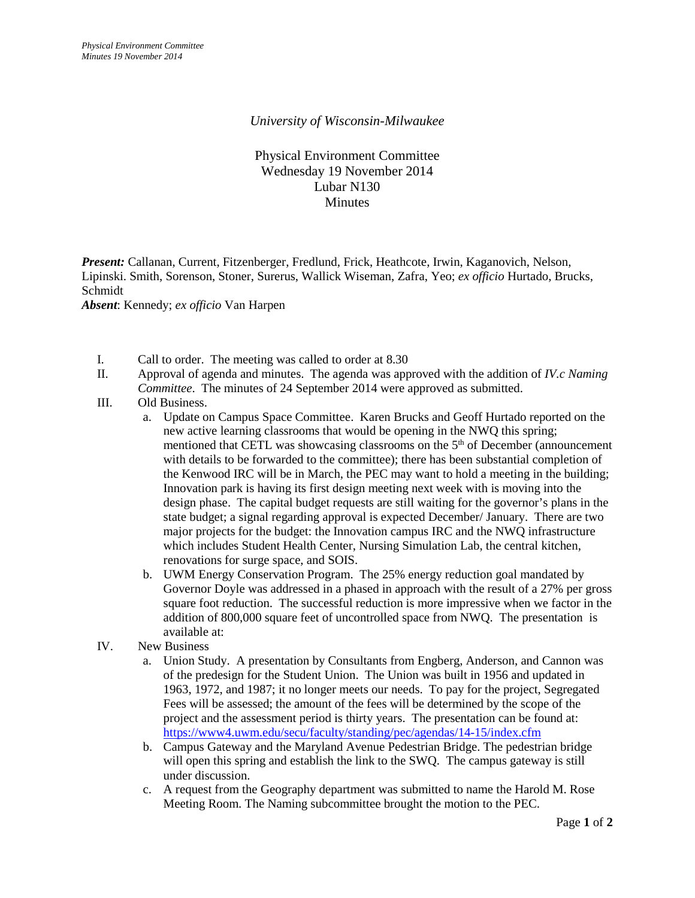## *University of Wisconsin-Milwaukee*

Physical Environment Committee Wednesday 19 November 2014 Lubar N130 **Minutes** 

*Present:* Callanan, Current, Fitzenberger, Fredlund, Frick, Heathcote, Irwin, Kaganovich, Nelson, Lipinski. Smith, Sorenson, Stoner, Surerus, Wallick Wiseman, Zafra, Yeo; *ex officio* Hurtado, Brucks, Schmidt

*Absent*: Kennedy; *ex officio* Van Harpen

- I. Call to order. The meeting was called to order at 8.30
- II. Approval of agenda and minutes. The agenda was approved with the addition of *IV.c Naming Committee*. The minutes of 24 September 2014 were approved as submitted.
- III. Old Business.
	- a. Update on Campus Space Committee. Karen Brucks and Geoff Hurtado reported on the new active learning classrooms that would be opening in the NWQ this spring; mentioned that CETL was showcasing classrooms on the 5<sup>th</sup> of December (announcement with details to be forwarded to the committee); there has been substantial completion of the Kenwood IRC will be in March, the PEC may want to hold a meeting in the building; Innovation park is having its first design meeting next week with is moving into the design phase. The capital budget requests are still waiting for the governor's plans in the state budget; a signal regarding approval is expected December/ January. There are two major projects for the budget: the Innovation campus IRC and the NWQ infrastructure which includes Student Health Center, Nursing Simulation Lab, the central kitchen, renovations for surge space, and SOIS.
	- b. UWM Energy Conservation Program. The 25% energy reduction goal mandated by Governor Doyle was addressed in a phased in approach with the result of a 27% per gross square foot reduction. The successful reduction is more impressive when we factor in the addition of 800,000 square feet of uncontrolled space from NWQ. The presentation is available at:
- IV. New Business
	- a. Union Study. A presentation by Consultants from Engberg, Anderson, and Cannon was of the predesign for the Student Union. The Union was built in 1956 and updated in 1963, 1972, and 1987; it no longer meets our needs. To pay for the project, Segregated Fees will be assessed; the amount of the fees will be determined by the scope of the project and the assessment period is thirty years. The presentation can be found at: <https://www4.uwm.edu/secu/faculty/standing/pec/agendas/14-15/index.cfm>
	- b. Campus Gateway and the Maryland Avenue Pedestrian Bridge. The pedestrian bridge will open this spring and establish the link to the SWQ. The campus gateway is still under discussion.
	- c. A request from the Geography department was submitted to name the Harold M. Rose Meeting Room. The Naming subcommittee brought the motion to the PEC.